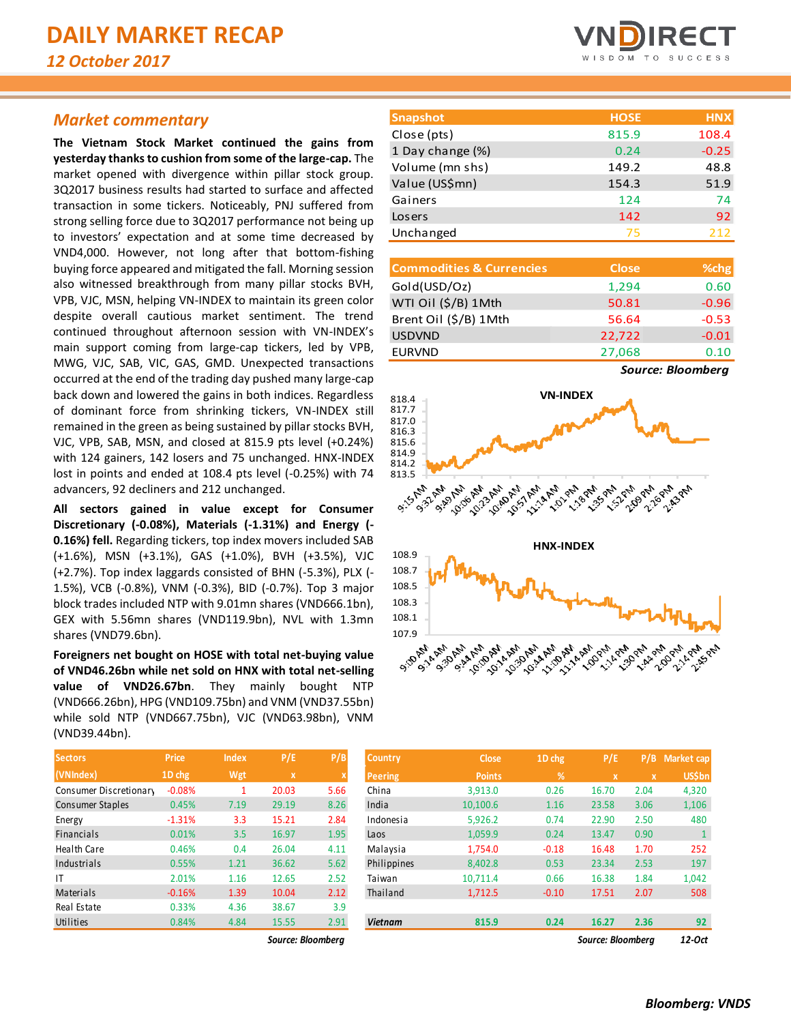# *Market commentary*

**The Vietnam Stock Market continued the gains from yesterday thanks to cushion from some of the large-cap.** The market opened with divergence within pillar stock group. 3Q2017 business results had started to surface and affected transaction in some tickers. Noticeably, PNJ suffered from strong selling force due to 3Q2017 performance not being up to investors' expectation and at some time decreased by VND4,000. However, not long after that bottom-fishing buying force appeared and mitigated the fall. Morning session also witnessed breakthrough from many pillar stocks BVH, VPB, VJC, MSN, helping VN-INDEX to maintain its green color despite overall cautious market sentiment. The trend continued throughout afternoon session with VN-INDEX's main support coming from large-cap tickers, led by VPB, MWG, VJC, SAB, VIC, GAS, GMD. Unexpected transactions occurred at the end of the trading day pushed many large-cap back down and lowered the gains in both indices. Regardless of dominant force from shrinking tickers, VN-INDEX still remained in the green as being sustained by pillar stocks BVH, VJC, VPB, SAB, MSN, and closed at 815.9 pts level (+0.24%) with 124 gainers, 142 losers and 75 unchanged. HNX-INDEX lost in points and ended at 108.4 pts level (-0.25%) with 74 advancers, 92 decliners and 212 unchanged.

**All sectors gained in value except for Consumer Discretionary (-0.08%), Materials (-1.31%) and Energy (- 0.16%) fell.** Regarding tickers, top index movers included SAB (+1.6%), MSN (+3.1%), GAS (+1.0%), BVH (+3.5%), VJC (+2.7%). Top index laggards consisted of BHN (-5.3%), PLX (- 1.5%), VCB (-0.8%), VNM (-0.3%), BID (-0.7%). Top 3 major block trades included NTP with 9.01mn shares (VND666.1bn), GEX with 5.56mn shares (VND119.9bn), NVL with 1.3mn shares (VND79.6bn).

**Foreigners net bought on HOSE with total net-buying value of VND46.26bn while net sold on HNX with total net-selling value of VND26.67bn**. They mainly bought NTP (VND666.26bn), HPG (VND109.75bn) and VNM (VND37.55bn) while sold NTP (VND667.75bn), VJC (VND63.98bn), VNM (VND39.44bn).

| <b>Sectors</b>          | <b>Price</b> | <b>Index</b> | P/E         | P/B  |
|-------------------------|--------------|--------------|-------------|------|
| (VNIndex)               | 1D chg       | Wgt          | $\mathbf x$ | X    |
| Consumer Discretionary  | $-0.08%$     | 1            | 20.03       | 5.66 |
| <b>Consumer Staples</b> | 0.45%        | 7.19         | 29.19       | 8.26 |
| Energy                  | $-1.31%$     | 3.3          | 15.21       | 2.84 |
| <b>Financials</b>       | 0.01%        | 3.5          | 16.97       | 1.95 |
| Health Care             | 0.46%        | 0.4          | 26.04       | 4.11 |
| Industrials             | 0.55%        | 1.21         | 36.62       | 5.62 |
| IT                      | 2.01%        | 1.16         | 12.65       | 2.52 |
| Materials               | $-0.16%$     | 1.39         | 10.04       | 2.12 |
| Real Estate             | 0.33%        | 4.36         | 38.67       | 3.9  |
| Utilities               | 0.84%        | 4.84         | 15.55       | 2.91 |
|                         |              |              |             |      |



| <b>Snapshot</b>  | <b>HOSE</b> | <b>HNX</b> |
|------------------|-------------|------------|
| Close (pts)      | 815.9       | 108.4      |
| 1 Day change (%) | 0.24        | $-0.25$    |
| Volume (mn shs)  | 149.2       | 48.8       |
| Value (US\$mn)   | 154.3       | 51.9       |
| Gainers          | 124         | 74         |
| Losers           | 142         | 92         |
| Unchanged        | 75          | 212        |

| <b>Commodities &amp; Currencies</b> | <b>Close</b> | %chg    |
|-------------------------------------|--------------|---------|
| Gold(USD/Oz)                        | 1,294        | 0.60    |
| WTI Oil (\$/B) 1Mth                 | 50.81        | $-0.96$ |
| Brent Oil (\$/B) 1Mth               | 56.64        | $-0.53$ |
| <b>USDVND</b>                       | 22,722       | $-0.01$ |
| <b>EURVND</b>                       | 27,068       | 0.10    |
|                                     |              |         |

*Source: Bloomberg*



| <b>Sectors</b>         | <b>Price</b> | <b>Index</b> | P/E               | P/B  | <b>Country</b> | <b>Close</b>  | 1D chg  | P/E               | P/B  | <b>Market cap</b> |
|------------------------|--------------|--------------|-------------------|------|----------------|---------------|---------|-------------------|------|-------------------|
| (VNIndex)              | 1D chg       | Wgt          | $\mathbf{x}$      | x    | <b>Peering</b> | <b>Points</b> | %       | $\mathbf x$       | x    | <b>US\$bn</b>     |
| Consumer Discretionary | $-0.08%$     |              | 20.03             | 5.66 | China          | 3.913.0       | 0.26    | 16.70             | 2.04 | 4,320             |
| Consumer Staples       | 0.45%        | 7.19         | 29.19             | 8.26 | India          | 10,100.6      | 1.16    | 23.58             | 3.06 | 1,106             |
| Energy                 | $-1.31%$     | 3.3          | 15.21             | 2.84 | Indonesia      | 5,926.2       | 0.74    | 22.90             | 2.50 | 480               |
| <b>Financials</b>      | 0.01%        | 3.5          | 16.97             | 1.95 | Laos           | 1,059.9       | 0.24    | 13.47             | 0.90 |                   |
| Health Care            | 0.46%        | 0.4          | 26.04             | 4.11 | Malaysia       | 1,754.0       | $-0.18$ | 16.48             | 1.70 | 252               |
| Industrials            | 0.55%        | 1.21         | 36.62             | 5.62 | Philippines    | 8,402.8       | 0.53    | 23.34             | 2.53 | 197               |
|                        | 2.01%        | 1.16         | 12.65             | 2.52 | Taiwan         | 10,711.4      | 0.66    | 16.38             | 1.84 | 1,042             |
| Materials              | $-0.16%$     | 1.39         | 10.04             | 2.12 | Thailand       | 1,712.5       | $-0.10$ | 17.51             | 2.07 | 508               |
| Real Estate            | 0.33%        | 4.36         | 38.67             | 3.9  |                |               |         |                   |      |                   |
| Utilities              | 0.84%        | 4.84         | 15.55             | 2.91 | <b>Vietnam</b> | 815.9         | 0.24    | 16.27             | 2.36 | 92                |
|                        |              |              | Source: Bloombera |      |                |               |         | Source: Bloombera |      | 12-Oct            |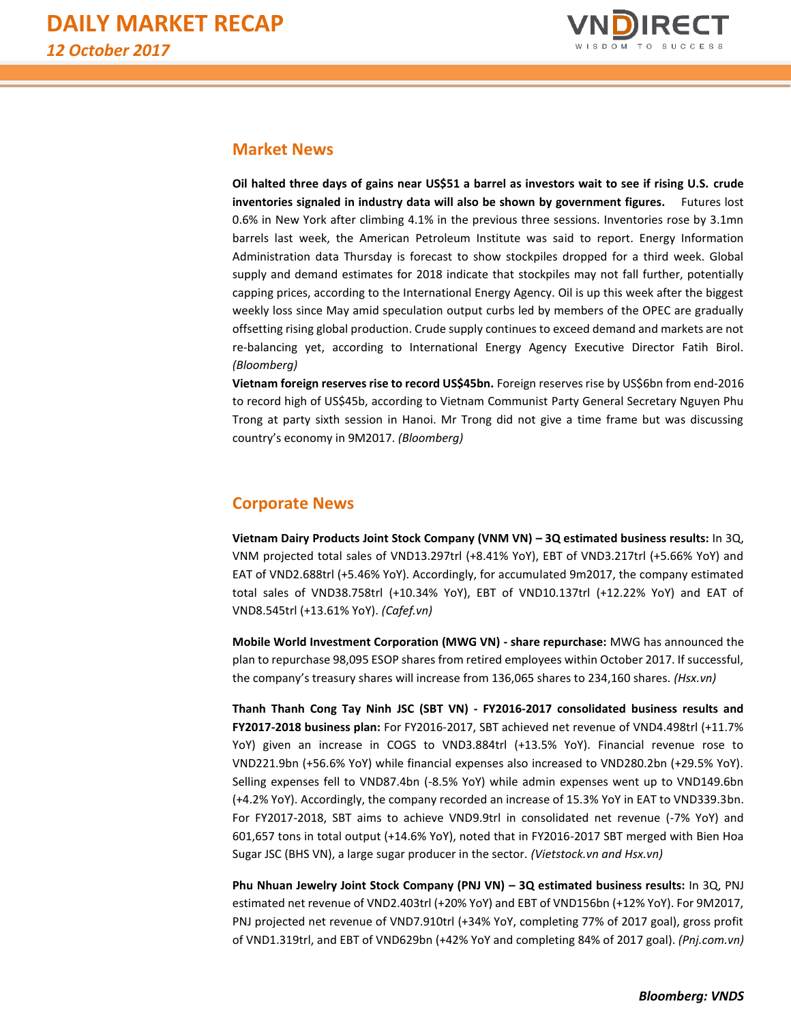

# **Market News**

**Oil halted three days of gains near US\$51 a barrel as investors wait to see if rising U.S. crude inventories signaled in industry data will also be shown by government figures.** Futures lost 0.6% in New York after climbing 4.1% in the previous three sessions. Inventories rose by 3.1mn barrels last week, the American Petroleum Institute was said to report. Energy Information Administration data Thursday is forecast to show stockpiles dropped for a third week. Global supply and demand estimates for 2018 indicate that stockpiles may not fall further, potentially capping prices, according to the International Energy Agency. Oil is up this week after the biggest weekly loss since May amid speculation output curbs led by members of the OPEC are gradually offsetting rising global production. Crude supply continues to exceed demand and markets are not re-balancing yet, according to International Energy Agency Executive Director Fatih Birol. *(Bloomberg)*

**Vietnam foreign reserves rise to record US\$45bn.** Foreign reserves rise by US\$6bn from end-2016 to record high of US\$45b, according to Vietnam Communist Party General Secretary Nguyen Phu Trong at party sixth session in Hanoi. Mr Trong did not give a time frame but was discussing country's economy in 9M2017. *(Bloomberg)*

# **Corporate News**

**Vietnam Dairy Products Joint Stock Company (VNM VN) – 3Q estimated business results:** In 3Q, VNM projected total sales of VND13.297trl (+8.41% YoY), EBT of VND3.217trl (+5.66% YoY) and EAT of VND2.688trl (+5.46% YoY). Accordingly, for accumulated 9m2017, the company estimated total sales of VND38.758trl (+10.34% YoY), EBT of VND10.137trl (+12.22% YoY) and EAT of VND8.545trl (+13.61% YoY). *(Cafef.vn)*

**Mobile World Investment Corporation (MWG VN) - share repurchase:** MWG has announced the plan to repurchase 98,095 ESOP shares from retired employees within October 2017. If successful, the company's treasury shares will increase from 136,065 shares to 234,160 shares. *(Hsx.vn)*

**Thanh Thanh Cong Tay Ninh JSC (SBT VN) - FY2016-2017 consolidated business results and FY2017-2018 business plan:** For FY2016-2017, SBT achieved net revenue of VND4.498trl (+11.7% YoY) given an increase in COGS to VND3.884trl (+13.5% YoY). Financial revenue rose to VND221.9bn (+56.6% YoY) while financial expenses also increased to VND280.2bn (+29.5% YoY). Selling expenses fell to VND87.4bn (-8.5% YoY) while admin expenses went up to VND149.6bn (+4.2% YoY). Accordingly, the company recorded an increase of 15.3% YoY in EAT to VND339.3bn. For FY2017-2018, SBT aims to achieve VND9.9trl in consolidated net revenue (-7% YoY) and 601,657 tons in total output (+14.6% YoY), noted that in FY2016-2017 SBT merged with Bien Hoa Sugar JSC (BHS VN), a large sugar producer in the sector. *(Vietstock.vn and Hsx.vn)*

**Phu Nhuan Jewelry Joint Stock Company (PNJ VN) – 3Q estimated business results:** In 3Q, PNJ estimated net revenue of VND2.403trl (+20% YoY) and EBT of VND156bn (+12% YoY). For 9M2017, PNJ projected net revenue of VND7.910trl (+34% YoY, completing 77% of 2017 goal), gross profit of VND1.319trl, and EBT of VND629bn (+42% YoY and completing 84% of 2017 goal). *(Pnj.com.vn)*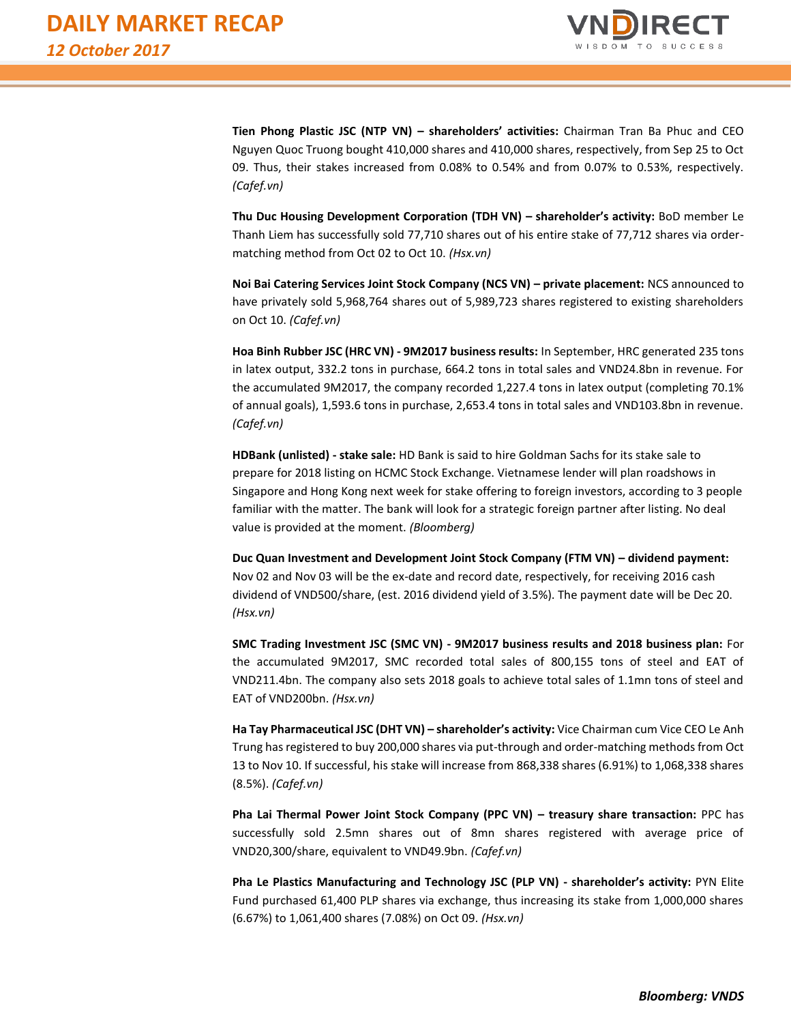

**Tien Phong Plastic JSC (NTP VN) – shareholders' activities:** Chairman Tran Ba Phuc and CEO Nguyen Quoc Truong bought 410,000 shares and 410,000 shares, respectively, from Sep 25 to Oct 09. Thus, their stakes increased from 0.08% to 0.54% and from 0.07% to 0.53%, respectively. *(Cafef.vn)*

**Thu Duc Housing Development Corporation (TDH VN) – shareholder's activity:** BoD member Le Thanh Liem has successfully sold 77,710 shares out of his entire stake of 77,712 shares via ordermatching method from Oct 02 to Oct 10. *(Hsx.vn)*

**Noi Bai Catering Services Joint Stock Company (NCS VN) – private placement:** NCS announced to have privately sold 5,968,764 shares out of 5,989,723 shares registered to existing shareholders on Oct 10. *(Cafef.vn)*

**Hoa Binh Rubber JSC (HRC VN) - 9M2017 business results:** In September, HRC generated 235 tons in latex output, 332.2 tons in purchase, 664.2 tons in total sales and VND24.8bn in revenue. For the accumulated 9M2017, the company recorded 1,227.4 tons in latex output (completing 70.1% of annual goals), 1,593.6 tons in purchase, 2,653.4 tons in total sales and VND103.8bn in revenue. *(Cafef.vn)*

**HDBank (unlisted) - stake sale:** HD Bank is said to hire Goldman Sachs for its stake sale to prepare for 2018 listing on HCMC Stock Exchange. Vietnamese lender will plan roadshows in Singapore and Hong Kong next week for stake offering to foreign investors, according to 3 people familiar with the matter. The bank will look for a strategic foreign partner after listing. No deal value is provided at the moment. *(Bloomberg)*

**Duc Quan Investment and Development Joint Stock Company (FTM VN) – dividend payment:**  Nov 02 and Nov 03 will be the ex-date and record date, respectively, for receiving 2016 cash dividend of VND500/share, (est. 2016 dividend yield of 3.5%). The payment date will be Dec 20. *(Hsx.vn)*

**SMC Trading Investment JSC (SMC VN) - 9M2017 business results and 2018 business plan:** For the accumulated 9M2017, SMC recorded total sales of 800,155 tons of steel and EAT of VND211.4bn. The company also sets 2018 goals to achieve total sales of 1.1mn tons of steel and EAT of VND200bn. *(Hsx.vn)*

**Ha Tay Pharmaceutical JSC (DHT VN) – shareholder's activity:** Vice Chairman cum Vice CEO Le Anh Trung has registered to buy 200,000 shares via put-through and order-matching methods from Oct 13 to Nov 10. If successful, his stake will increase from 868,338 shares (6.91%) to 1,068,338 shares (8.5%). *(Cafef.vn)*

**Pha Lai Thermal Power Joint Stock Company (PPC VN) – treasury share transaction:** PPC has successfully sold 2.5mn shares out of 8mn shares registered with average price of VND20,300/share, equivalent to VND49.9bn. *(Cafef.vn)*

**Pha Le Plastics Manufacturing and Technology JSC (PLP VN) - shareholder's activity:** PYN Elite Fund purchased 61,400 PLP shares via exchange, thus increasing its stake from 1,000,000 shares (6.67%) to 1,061,400 shares (7.08%) on Oct 09. *(Hsx.vn)*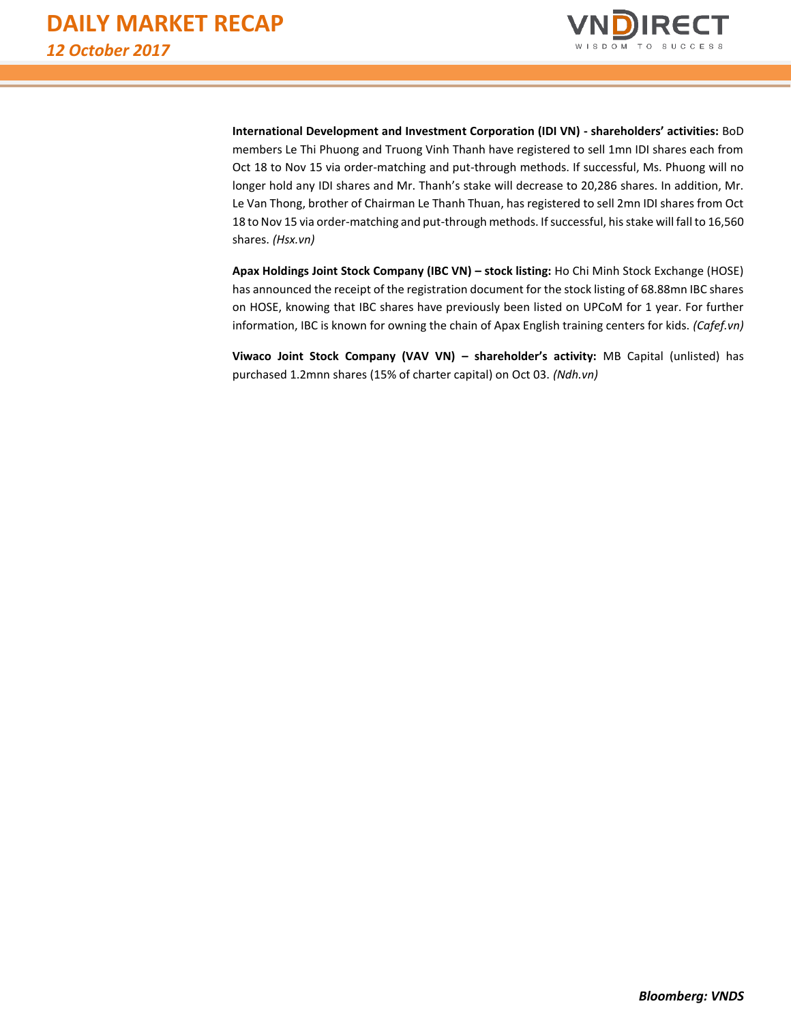

**International Development and Investment Corporation (IDI VN) - shareholders' activities:** BoD members Le Thi Phuong and Truong Vinh Thanh have registered to sell 1mn IDI shares each from Oct 18 to Nov 15 via order-matching and put-through methods. If successful, Ms. Phuong will no longer hold any IDI shares and Mr. Thanh's stake will decrease to 20,286 shares. In addition, Mr. Le Van Thong, brother of Chairman Le Thanh Thuan, has registered to sell 2mn IDI shares from Oct 18 to Nov 15 via order-matching and put-through methods. If successful, his stake will fall to 16,560 shares. *(Hsx.vn)*

**Apax Holdings Joint Stock Company (IBC VN) – stock listing:** Ho Chi Minh Stock Exchange (HOSE) has announced the receipt of the registration document for the stock listing of 68.88mn IBC shares on HOSE, knowing that IBC shares have previously been listed on UPCoM for 1 year. For further information, IBC is known for owning the chain of Apax English training centers for kids. *(Cafef.vn)*

**Viwaco Joint Stock Company (VAV VN) – shareholder's activity:** MB Capital (unlisted) has purchased 1.2mnn shares (15% of charter capital) on Oct 03. *(Ndh.vn)*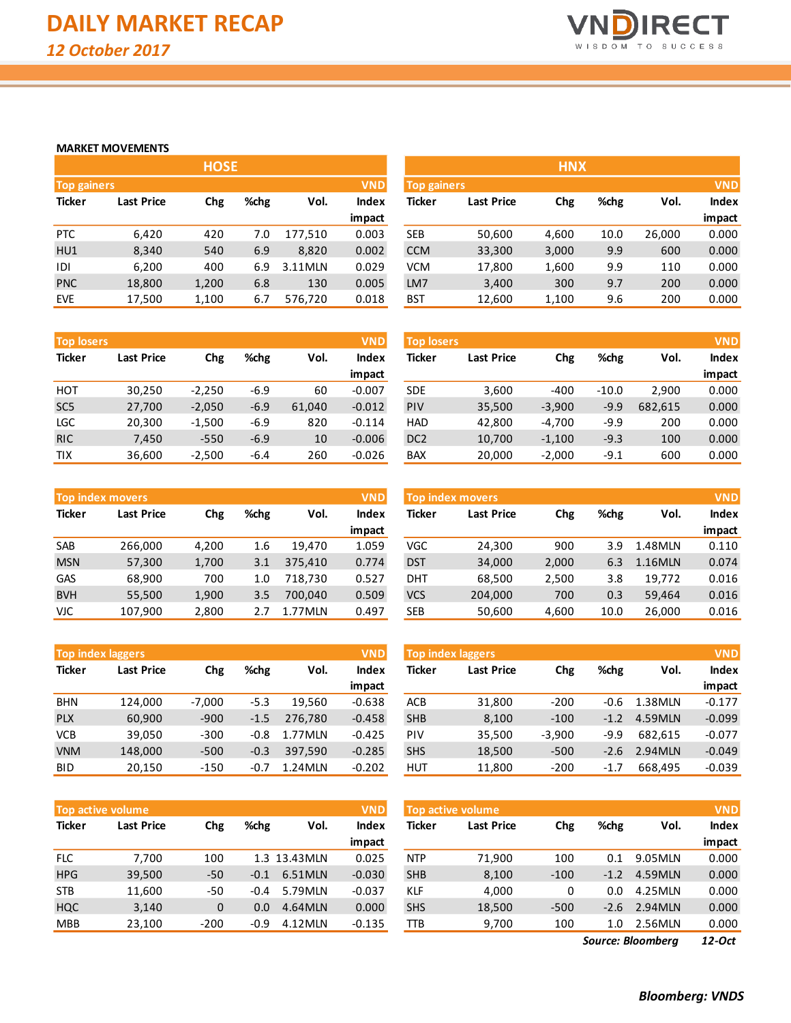

### **MARKET MOVEMENTS**

|                    |                   | <b>HOSE</b> |      |         |              |                    |            | <b>HNX</b> |
|--------------------|-------------------|-------------|------|---------|--------------|--------------------|------------|------------|
| <b>Top gainers</b> |                   |             |      |         | <b>VND</b>   | <b>Top gainers</b> |            |            |
| <b>Ticker</b>      | <b>Last Price</b> | Chg         | %chg | Vol.    | <b>Index</b> | Ticker             | Last Price | Chg        |
|                    |                   |             |      |         | impact       |                    |            |            |
| <b>PTC</b>         | 6,420             | 420         | 7.0  | 177,510 | 0.003        | <b>SEB</b>         | 50,600     | 4,600      |
| HU1                | 8,340             | 540         | 6.9  | 8,820   | 0.002        | <b>CCM</b>         | 33,300     | 3,000      |
| IDI                | 6,200             | 400         | 6.9  | 3.11MLN | 0.029        | <b>VCM</b>         | 17,800     | 1,600      |
| <b>PNC</b>         | 18,800            | 1,200       | 6.8  | 130     | 0.005        | LM7                | 3,400      | 300        |
| <b>EVE</b>         | 17,500            | 1,100       | 6.7  | 576,720 | 0.018        | <b>BST</b>         | 12,600     | 1,100      |

|                                  |                   | <b>HOSE</b> |      |         |              |               |                                  | <b>HNX</b> |      |        |              |
|----------------------------------|-------------------|-------------|------|---------|--------------|---------------|----------------------------------|------------|------|--------|--------------|
| <b>VND</b><br><b>Top gainers</b> |                   |             |      |         |              |               | <b>VND</b><br><b>Top gainers</b> |            |      |        |              |
| Ticker                           | <b>Last Price</b> | Chg         | %chg | Vol.    | <b>Index</b> | <b>Ticker</b> | <b>Last Price</b>                | Chg        | %chg | Vol.   | <b>Index</b> |
|                                  |                   |             |      |         | impact       |               |                                  |            |      |        | impact       |
| PTC.                             | 6,420             | 420         | 7.0  | 177,510 | 0.003        | <b>SEB</b>    | 50,600                           | 4,600      | 10.0 | 26,000 | 0.000        |
| HU1                              | 8,340             | 540         | 6.9  | 8,820   | 0.002        | <b>CCM</b>    | 33,300                           | 3,000      | 9.9  | 600    | 0.000        |
| IDI                              | 6,200             | 400         | 6.9  | 3.11MLN | 0.029        | <b>VCM</b>    | 17,800                           | 1,600      | 9.9  | 110    | 0.000        |
| <b>PNC</b>                       | 18,800            | 1,200       | 6.8  | 130     | 0.005        | LM7           | 3,400                            | 300        | 9.7  | 200    | 0.000        |
| <b>EVE</b>                       | 17,500            | 1,100       | 6.7  | 576,720 | 0.018        | <b>BST</b>    | 12,600                           | 1,100      | 9.6  | 200    | 0.000        |

| <b>Top losers</b>                  |        |            |        |        | <b>VND</b> |
|------------------------------------|--------|------------|--------|--------|------------|
| <b>Ticker</b><br><b>Last Price</b> |        | <b>Chg</b> | %chg   | Vol.   | Index      |
|                                    |        |            |        |        | impact     |
| нот                                | 30,250 | $-2,250$   | $-6.9$ | 60     | $-0.007$   |
| SC <sub>5</sub>                    | 27,700 | $-2,050$   | $-6.9$ | 61,040 | $-0.012$   |
| LGC                                | 20,300 | $-1,500$   | $-6.9$ | 820    | $-0.114$   |
| <b>RIC</b>                         | 7,450  | $-550$     | $-6.9$ | 10     | $-0.006$   |
| TIX                                | 36,600 | $-2,500$   | $-6.4$ | 260    | $-0.026$   |

|                 | <b>Top losers</b><br><b>VND</b> |          |        |        |          |                 | <b>VND</b><br><b>Top losers</b> |          |         |         |        |
|-----------------|---------------------------------|----------|--------|--------|----------|-----------------|---------------------------------|----------|---------|---------|--------|
| Ticker          | <b>Last Price</b>               | Chg      | %chg   | Vol.   | Index    | Ticker          | <b>Last Price</b>               | Chg      | %chg    | Vol.    | Index  |
|                 |                                 |          |        |        | impact   |                 |                                 |          |         |         | impact |
| нот             | 30,250                          | $-2,250$ | $-6.9$ | 60     | $-0.007$ | <b>SDE</b>      | 3,600                           | $-400$   | $-10.0$ | 2,900   | 0.000  |
| SC <sub>5</sub> | 27,700                          | $-2,050$ | $-6.9$ | 61,040 | $-0.012$ | <b>PIV</b>      | 35,500                          | $-3,900$ | $-9.9$  | 682,615 | 0.000  |
| LGC             | 20,300                          | $-1,500$ | $-6.9$ | 820    | $-0.114$ | <b>HAD</b>      | 42,800                          | $-4,700$ | $-9.9$  | 200     | 0.000  |
| <b>RIC</b>      | 7,450                           | $-550$   | $-6.9$ | 10     | $-0.006$ | DC <sub>2</sub> | 10,700                          | $-1,100$ | $-9.3$  | 100     | 0.000  |
| τıχ             | 36,600                          | $-2,500$ | $-6.4$ | 260    | $-0.026$ | <b>BAX</b>      | 20,000                          | $-2,000$ | $-9.1$  | 600     | 0.000  |
|                 |                                 |          |        |        |          |                 |                                 |          |         |         |        |

|               | <b>VND</b><br><b>Top index movers</b> |       |      |         |              |  |  |  |  |  |  |  |
|---------------|---------------------------------------|-------|------|---------|--------------|--|--|--|--|--|--|--|
| <b>Ticker</b> | <b>Last Price</b>                     | Chg   | %chg | Vol.    | <b>Index</b> |  |  |  |  |  |  |  |
|               |                                       |       |      |         | impact       |  |  |  |  |  |  |  |
| <b>SAB</b>    | 266,000                               | 4,200 | 1.6  | 19,470  | 1.059        |  |  |  |  |  |  |  |
| <b>MSN</b>    | 57,300                                | 1,700 | 3.1  | 375,410 | 0.774        |  |  |  |  |  |  |  |
| GAS           | 68,900                                | 700   | 1.0  | 718,730 | 0.527        |  |  |  |  |  |  |  |
| <b>BVH</b>    | 55,500                                | 1,900 | 3.5  | 700.040 | 0.509        |  |  |  |  |  |  |  |
| VJC           | 107,900                               | 2,800 | 27   | 1.77MLN | 0.497        |  |  |  |  |  |  |  |

|               | <b>Top index laggers</b> |          |        |         | <b>VND</b>   |
|---------------|--------------------------|----------|--------|---------|--------------|
| <b>Ticker</b> | <b>Last Price</b>        | Chg      | %chg   | Vol.    | <b>Index</b> |
|               |                          |          |        |         | impact       |
| <b>BHN</b>    | 124,000                  | $-7,000$ | $-5.3$ | 19,560  | $-0.638$     |
| <b>PLX</b>    | 60,900                   | $-900$   | $-1.5$ | 276,780 | $-0.458$     |
| <b>VCB</b>    | 39,050                   | $-300$   | $-0.8$ | 1.77MLN | $-0.425$     |
| <b>VNM</b>    | 148,000                  | $-500$   | $-0.3$ | 397,590 | $-0.285$     |
| BID           | 20,150                   | -150     | $-0.7$ | 1.24MLN | $-0.202$     |

| <b>Top active volume</b> |                   |        |        |               |              |  |  |  |  |  |  |
|--------------------------|-------------------|--------|--------|---------------|--------------|--|--|--|--|--|--|
| <b>Ticker</b>            | <b>Last Price</b> | Chg    | %chg   | Vol.          | <b>Index</b> |  |  |  |  |  |  |
|                          |                   |        |        |               | impact       |  |  |  |  |  |  |
| FLC                      | 7,700             | 100    |        | 1.3 13.43 MLN | 0.025        |  |  |  |  |  |  |
| <b>HPG</b>               | 39,500            | $-50$  | $-0.1$ | 6.51MLN       | $-0.030$     |  |  |  |  |  |  |
| <b>STB</b>               | 11,600            | $-50$  | $-0.4$ | 5.79MLN       | $-0.037$     |  |  |  |  |  |  |
| <b>HQC</b>               | 3,140             | 0      | 0.0    | 4.64MLN       | 0.000        |  |  |  |  |  |  |
| <b>MBB</b>               | 23,100            | $-200$ | $-0.9$ | 4.12MLN       | $-0.135$     |  |  |  |  |  |  |

|            | <b>VND</b><br>Top index movers |       |      |         |        |            | <b>Top index movers</b> |       |      |         |                     |
|------------|--------------------------------|-------|------|---------|--------|------------|-------------------------|-------|------|---------|---------------------|
| Ticker     | <b>Last Price</b>              | Chg   | %chg | Vol.    | Index  | Ticker     | <b>Last Price</b>       | Chg   | %chg | Vol.    | <b>VND</b><br>Index |
|            |                                |       |      |         | impact |            |                         |       |      |         | impact              |
| SAB        | 266,000                        | 4,200 | 1.6  | 19.470  | 1.059  | VGC        | 24,300                  | 900   | 3.9  | 1.48MLN | 0.110               |
| <b>MSN</b> | 57,300                         | 1,700 | 3.1  | 375.410 | 0.774  | <b>DST</b> | 34,000                  | 2,000 | 6.3  | 1.16MLN | 0.074               |
| <b>GAS</b> | 68,900                         | 700   | 1.0  | 718.730 | 0.527  | DHT        | 68,500                  | 2,500 | 3.8  | 19.772  | 0.016               |
| <b>BVH</b> | 55,500                         | 1,900 | 3.5  | 700.040 | 0.509  | <b>VCS</b> | 204,000                 | 700   | 0.3  | 59.464  | 0.016               |
| VJC        | 107.900                        | 2,800 | 2.7  | 1.77MLN | 0.497  | SEB        | 50,600                  | 4,600 | 10.0 | 26.000  | 0.016               |

| <b>Top index laggers</b> |            |          |        |         | <b>VND</b> | <b>VND</b><br><b>Top index laggers</b> |                   |          |        |         |          |  |
|--------------------------|------------|----------|--------|---------|------------|----------------------------------------|-------------------|----------|--------|---------|----------|--|
| Ticker                   | Last Price | Chg      | %chg   | Vol.    | Index      | Ticker                                 | <b>Last Price</b> | Chg      | %chg   | Vol.    | Index    |  |
|                          |            |          |        |         | impact     |                                        |                   |          |        |         | impact   |  |
| <b>BHN</b>               | 124.000    | $-7.000$ | $-5.3$ | 19.560  | $-0.638$   | ACB                                    | 31,800            | $-200$   | -0.6   | 1.38MLN | $-0.177$ |  |
| <b>PLX</b>               | 60,900     | $-900$   | $-1.5$ | 276.780 | $-0.458$   | <b>SHB</b>                             | 8,100             | $-100$   | $-1.2$ | 4.59MLN | $-0.099$ |  |
| VCB                      | 39,050     | $-300$   | $-0.8$ | 1.77MLN | $-0.425$   | <b>PIV</b>                             | 35,500            | $-3,900$ | -9.9   | 682.615 | $-0.077$ |  |
| <b>VNM</b>               | 148,000    | $-500$   | $-0.3$ | 397.590 | $-0.285$   | <b>SHS</b>                             | 18,500            | $-500$   | -2.6   | 2.94MLN | $-0.049$ |  |
| BID                      | 20,150     | $-150$   | $-0.7$ | 1.24MLN | $-0.202$   | HUT                                    | 11,800            | $-200$   | -1.7   | 668.495 | $-0.039$ |  |

|            | <b>Top active volume</b> |              |        |               | <b>VND</b>   | <b>Top active volume</b> |                   |        |        |         |              |
|------------|--------------------------|--------------|--------|---------------|--------------|--------------------------|-------------------|--------|--------|---------|--------------|
| Ticker     | <b>Last Price</b>        | Chg          | %chg   | Vol.          | <b>Index</b> | Ticker                   | <b>Last Price</b> | Chg    | %chg   | Vol.    | <b>Index</b> |
|            |                          |              |        |               | impact       |                          |                   |        |        |         | impact       |
| <b>FLC</b> | 7.700                    | 100          |        | 1.3 13.43 MLN | 0.025        | <b>NTP</b>               | 71,900            | 100    | 0.1    | 9.05MLN | 0.000        |
| <b>HPG</b> | 39,500                   | $-50$        | $-0.1$ | 6.51MLN       | $-0.030$     | <b>SHB</b>               | 8,100             | $-100$ | $-1.2$ | 4.59MLN | 0.000        |
| STB        | 11,600                   | $-50$        | $-0.4$ | 5.79MLN       | $-0.037$     | <b>KLF</b>               | 4,000             | 0      | 0.0    | 4.25MLN | 0.000        |
| HQC        | 3,140                    | $\mathbf{0}$ | 0.0    | 4.64MLN       | 0.000        | <b>SHS</b>               | 18,500            | $-500$ | $-2.6$ | 2.94MLN | 0.000        |
| <b>MBB</b> | 23,100                   | $-200$       | $-0.9$ | 4.12MLN       | $-0.135$     | TTB                      | 9,700             | 100    | 1.0    | 2.56MLN | 0.000        |
|            |                          |              |        |               |              |                          |                   |        |        |         |              |

*12-Oct Source: Bloomberg*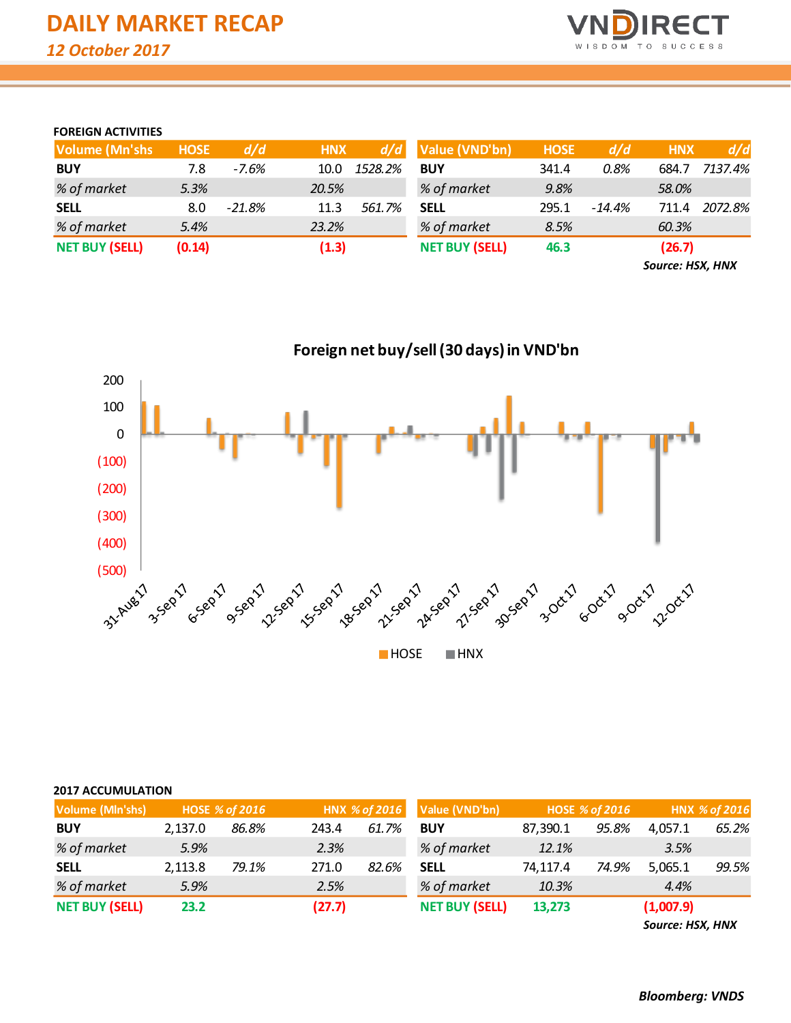

# **FOREIGN ACTIVITIES**

| <b>Volume (Mn'shs)</b> | <b>HOSE</b> | d/d      | <b>HNX</b> | d/d     | Value (VND'bn)        | <b>HOSE</b> | d/d    | <b>HNX</b> | d/d     |
|------------------------|-------------|----------|------------|---------|-----------------------|-------------|--------|------------|---------|
| <b>BUY</b>             | 7.8         | -7.6%    | 10.0       | 1528.2% | <b>BUY</b>            | 341.4       | 0.8%   | 684.7      | 7137.4% |
| % of market            | 5.3%        |          | 20.5%      |         | % of market           | 9.8%        |        | 58.0%      |         |
| <b>SELL</b>            | 8.0         | $-21.8%$ | 11.3       | 561.7%  | <b>SELL</b>           | 295.1       | -14.4% | 711.4      | 2072.8% |
| % of market            | 5.4%        |          | 23.2%      |         | % of market           | 8.5%        |        | 60.3%      |         |
| <b>NET BUY (SELL)</b>  | (0.14)      |          | (1.3)      |         | <b>NET BUY (SELL)</b> | 46.3        |        | (26.7)     |         |

*Source: HSX, HNX*



# **2017 ACCUMULATION**

| Volume (Mln'shs)      |         | HOSE % of 2016 |        | HNX % of 2016 | Value (VND'bn)        |          | <b>HOSE % of 2016</b> |           | HNX % of 2016 |
|-----------------------|---------|----------------|--------|---------------|-----------------------|----------|-----------------------|-----------|---------------|
| <b>BUY</b>            | 2,137.0 | 86.8%          | 243.4  | 61.7%         | <b>BUY</b>            | 87,390.1 | 95.8%                 | 4.057.1   | 65.2%         |
| % of market           | 5.9%    |                | 2.3%   |               | % of market           | 12.1%    |                       | 3.5%      |               |
| <b>SELL</b>           | 2,113.8 | 79.1%          | 271.0  | 82.6%         | <b>SELL</b>           | 74,117.4 | 74.9%                 | 5,065.1   | 99.5%         |
| % of market           | 5.9%    |                | 2.5%   |               | % of market           | 10.3%    |                       | 4.4%      |               |
| <b>NET BUY (SELL)</b> | 23.2    |                | (27.7) |               | <b>NET BUY (SELL)</b> | 13,273   |                       | (1,007.9) |               |

*Source: HSX, HNX*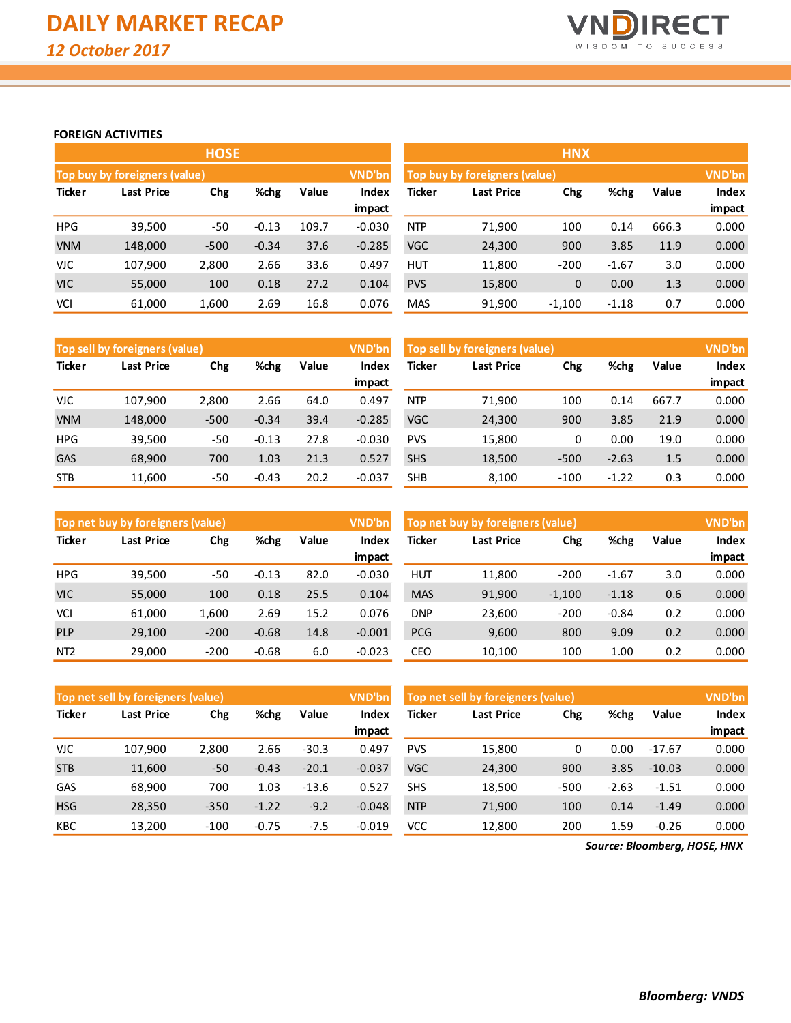

### **FOREIGN ACTIVITIES**

|               |                               | <b>HOSE</b> |         |       |          |               | <b>HNX</b>                    |             |         |       |              |  |  |  |
|---------------|-------------------------------|-------------|---------|-------|----------|---------------|-------------------------------|-------------|---------|-------|--------------|--|--|--|
|               | Top buy by foreigners (value) |             |         |       | VND'bn   |               | Top buy by foreigners (value) |             |         |       |              |  |  |  |
| <b>Ticker</b> | <b>Last Price</b>             | Chg         | %chg    | Value | Index    | <b>Ticker</b> | <b>Last Price</b>             | Chg         | %chg    | Value | <b>Index</b> |  |  |  |
|               |                               |             |         |       | impact   |               |                               |             |         |       | impact       |  |  |  |
| <b>HPG</b>    | 39,500                        | $-50$       | $-0.13$ | 109.7 | $-0.030$ | <b>NTP</b>    | 71,900                        | 100         | 0.14    | 666.3 | 0.000        |  |  |  |
| <b>VNM</b>    | 148,000                       | $-500$      | $-0.34$ | 37.6  | $-0.285$ | <b>VGC</b>    | 24,300                        | 900         | 3.85    | 11.9  | 0.000        |  |  |  |
| <b>VJC</b>    | 107,900                       | 2,800       | 2.66    | 33.6  | 0.497    | <b>HUT</b>    | 11,800                        | $-200$      | $-1.67$ | 3.0   | 0.000        |  |  |  |
| <b>VIC</b>    | 55,000                        | 100         | 0.18    | 27.2  | 0.104    | <b>PVS</b>    | 15,800                        | $\mathbf 0$ | 0.00    | 1.3   | 0.000        |  |  |  |
| <b>VCI</b>    | 61,000                        | 1,600       | 2.69    | 16.8  | 0.076    | <b>MAS</b>    | 91,900                        | $-1,100$    | $-1.18$ | 0.7   | 0.000        |  |  |  |

|               | Top sell by foreigners (value) |        |         |       | VND'bn          | Top sell by foreigners (value) |            |        |         |       |                 |
|---------------|--------------------------------|--------|---------|-------|-----------------|--------------------------------|------------|--------|---------|-------|-----------------|
| <b>Ticker</b> | Last Price                     | Chg    | %chg    | Value | Index           | Ticker                         | Last Price | Chg    | %chg    | Value | <b>Index</b>    |
| <b>VJC</b>    | 107.900                        | 2.800  | 2.66    | 64.0  | impact<br>0.497 | <b>NTP</b>                     | 71.900     | 100    | 0.14    | 667.7 | impact<br>0.000 |
|               |                                |        |         | 39.4  |                 | <b>VGC</b>                     |            |        |         |       |                 |
| <b>VNM</b>    | 148,000                        | $-500$ | $-0.34$ |       | $-0.285$        |                                | 24,300     | 900    | 3.85    | 21.9  | 0.000           |
| <b>HPG</b>    | 39,500                         | -50    | $-0.13$ | 27.8  | $-0.030$        | <b>PVS</b>                     | 15,800     | 0      | 0.00    | 19.0  | 0.000           |
| <b>GAS</b>    | 68,900                         | 700    | 1.03    | 21.3  | 0.527           | <b>SHS</b>                     | 18,500     | $-500$ | $-2.63$ | 1.5   | 0.000           |
| <b>STB</b>    | 11,600                         | $-50$  | $-0.43$ | 20.2  | $-0.037$        | <b>SHB</b>                     | 8.100      | $-100$ | $-1.22$ | 0.3   | 0.000           |

|                 | Top net buy by foreigners (value) |        |         |       | VND'bn   | Top net buy by foreigners (value) |            | VND'bn   |         |       |        |
|-----------------|-----------------------------------|--------|---------|-------|----------|-----------------------------------|------------|----------|---------|-------|--------|
| <b>Ticker</b>   | %chg<br>Chg<br>Last Price         |        |         | Value | Index    | <b>Ticker</b>                     | Last Price | %chg     | Value   | Index |        |
|                 |                                   |        |         |       | impact   |                                   |            |          |         |       | impact |
| <b>HPG</b>      | 39,500                            | -50    | $-0.13$ | 82.0  | $-0.030$ | <b>HUT</b>                        | 11,800     | $-200$   | $-1.67$ | 3.0   | 0.000  |
| <b>VIC</b>      | 55,000                            | 100    | 0.18    | 25.5  | 0.104    | <b>MAS</b>                        | 91,900     | $-1,100$ | $-1.18$ | 0.6   | 0.000  |
| VCI             | 61,000                            | 1.600  | 2.69    | 15.2  | 0.076    | DNP.                              | 23,600     | $-200$   | $-0.84$ | 0.2   | 0.000  |
| <b>PLP</b>      | 29,100                            | $-200$ | $-0.68$ | 14.8  | $-0.001$ | <b>PCG</b>                        | 9,600      | 800      | 9.09    | 0.2   | 0.000  |
| NT <sub>2</sub> | 29,000                            | $-200$ | $-0.68$ | 6.0   | $-0.023$ | CEO                               | 10,100     | 100      | 1.00    | 0.2   | 0.000  |

|               | Top net sell by foreigners (value) |        |         |         | VND'bn   | Top net sell by foreigners (value) |                   | VND'bn |         |          |              |
|---------------|------------------------------------|--------|---------|---------|----------|------------------------------------|-------------------|--------|---------|----------|--------------|
| <b>Ticker</b> | Last Price                         | Chg    | %chg    | Value   | Index    | Ticker                             | <b>Last Price</b> | Chg    | %chg    | Value    | <b>Index</b> |
|               |                                    |        |         |         | impact   |                                    |                   |        |         |          | impact       |
| VJC           | 107,900                            | 2,800  | 2.66    | $-30.3$ | 0.497    | <b>PVS</b>                         | 15,800            | 0      | 0.00    | $-17.67$ | 0.000        |
| <b>STB</b>    | 11,600                             | $-50$  | $-0.43$ | $-20.1$ | $-0.037$ | <b>VGC</b>                         | 24,300            | 900    | 3.85    | $-10.03$ | 0.000        |
| GAS           | 68,900                             | 700    | 1.03    | $-13.6$ | 0.527    | <b>SHS</b>                         | 18,500            | $-500$ | $-2.63$ | $-1.51$  | 0.000        |
| <b>HSG</b>    | 28,350                             | $-350$ | $-1.22$ | $-9.2$  | $-0.048$ | <b>NTP</b>                         | 71,900            | 100    | 0.14    | $-1.49$  | 0.000        |
| <b>KBC</b>    | 13,200                             | $-100$ | $-0.75$ | $-7.5$  | $-0.019$ | VCC                                | 12,800            | 200    | 1.59    | $-0.26$  | 0.000        |

*Source: Bloomberg, HOSE, HNX*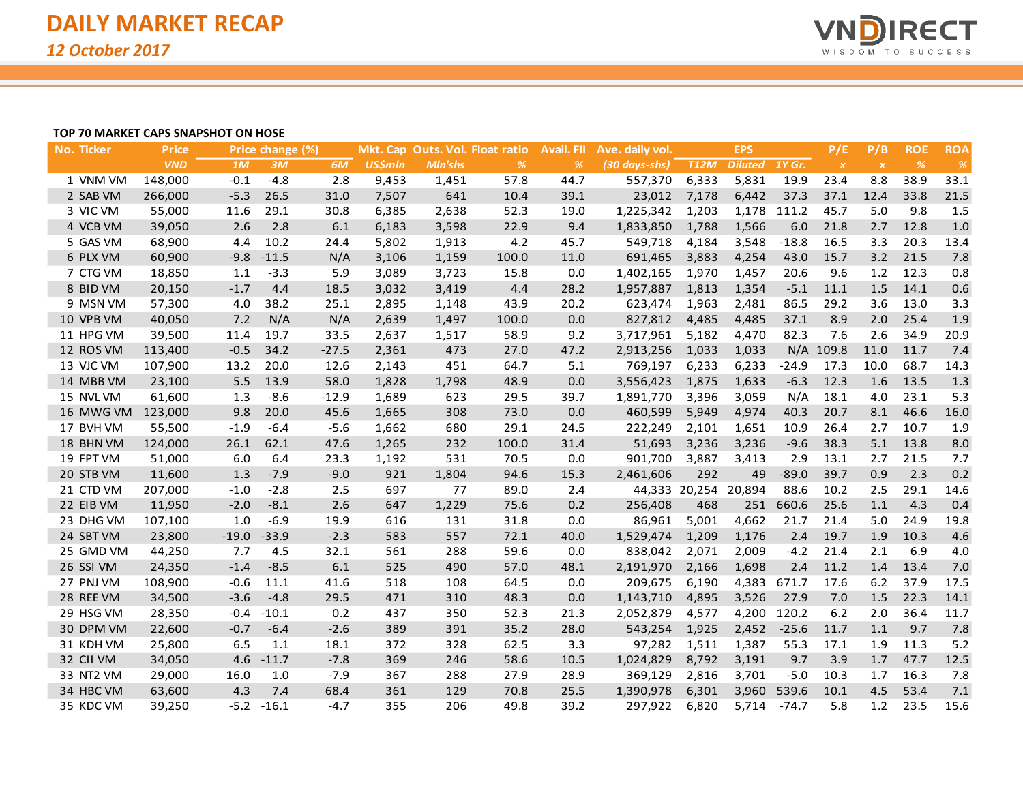

### **TOP 70 MARKET CAPS SNAPSHOT ON HOSE**

| No. Ticker | <b>Price</b> |         | Price change (%) |         |                |                | Mkt. Cap Outs. Vol. Float ratio | <b>Avail. FII</b> | Ave. daily vol. |                      | <b>EPS</b>     |             | P/E              | P/B              | <b>ROE</b>    | <b>ROA</b> |
|------------|--------------|---------|------------------|---------|----------------|----------------|---------------------------------|-------------------|-----------------|----------------------|----------------|-------------|------------------|------------------|---------------|------------|
|            | <b>VND</b>   | 1M      | 3M               | 6M      | <b>US\$mln</b> | <b>MIn'shs</b> | $\frac{9}{6}$                   | %                 | (30 days-shs)   | <b>T12M</b>          | Diluted 1Y Gr. |             | $\boldsymbol{X}$ | $\boldsymbol{X}$ | $\frac{9}{6}$ | %          |
| 1 VNM VM   | 148,000      | $-0.1$  | $-4.8$           | 2.8     | 9,453          | 1,451          | 57.8                            | 44.7              | 557,370         | 6,333                | 5,831          | 19.9        | 23.4             | 8.8              | 38.9          | 33.1       |
| 2 SAB VM   | 266,000      | $-5.3$  | 26.5             | 31.0    | 7,507          | 641            | 10.4                            | 39.1              | 23,012          | 7,178                | 6,442          | 37.3        | 37.1             | 12.4             | 33.8          | 21.5       |
| 3 VIC VM   | 55,000       | 11.6    | 29.1             | 30.8    | 6,385          | 2,638          | 52.3                            | 19.0              | 1,225,342       | 1,203                |                | 1,178 111.2 | 45.7             | 5.0              | 9.8           | 1.5        |
| 4 VCB VM   | 39,050       | 2.6     | 2.8              | 6.1     | 6,183          | 3,598          | 22.9                            | 9.4               | 1,833,850       | 1,788                | 1,566          | 6.0         | 21.8             | 2.7              | 12.8          | 1.0        |
| 5 GAS VM   | 68,900       | 4.4     | 10.2             | 24.4    | 5,802          | 1,913          | 4.2                             | 45.7              | 549,718         | 4,184                | 3,548          | $-18.8$     | 16.5             | 3.3              | 20.3          | 13.4       |
| 6 PLX VM   | 60,900       | $-9.8$  | $-11.5$          | N/A     | 3,106          | 1,159          | 100.0                           | 11.0              | 691,465         | 3,883                | 4,254          | 43.0        | 15.7             | 3.2              | 21.5          | 7.8        |
| 7 CTG VM   | 18,850       | 1.1     | $-3.3$           | 5.9     | 3,089          | 3,723          | 15.8                            | 0.0               | 1,402,165       | 1,970                | 1,457          | 20.6        | 9.6              | 1.2              | 12.3          | 0.8        |
| 8 BID VM   | 20,150       | $-1.7$  | 4.4              | 18.5    | 3,032          | 3,419          | 4.4                             | 28.2              | 1,957,887       | 1,813                | 1,354          | $-5.1$      | 11.1             | 1.5              | 14.1          | 0.6        |
| 9 MSN VM   | 57,300       | 4.0     | 38.2             | 25.1    | 2,895          | 1,148          | 43.9                            | 20.2              | 623,474         | 1,963                | 2,481          | 86.5        | 29.2             | 3.6              | 13.0          | 3.3        |
| 10 VPB VM  | 40,050       | 7.2     | N/A              | N/A     | 2,639          | 1,497          | 100.0                           | 0.0               | 827,812         | 4,485                | 4,485          | 37.1        | 8.9              | 2.0              | 25.4          | 1.9        |
| 11 HPG VM  | 39,500       | 11.4    | 19.7             | 33.5    | 2,637          | 1,517          | 58.9                            | 9.2               | 3,717,961       | 5,182                | 4,470          | 82.3        | 7.6              | 2.6              | 34.9          | 20.9       |
| 12 ROS VM  | 113,400      | $-0.5$  | 34.2             | $-27.5$ | 2,361          | 473            | 27.0                            | 47.2              | 2,913,256       | 1,033                | 1,033          |             | N/A 109.8        | 11.0             | 11.7          | 7.4        |
| 13 VJC VM  | 107,900      | 13.2    | 20.0             | 12.6    | 2,143          | 451            | 64.7                            | 5.1               | 769,197         | 6,233                | 6,233          | $-24.9$     | 17.3             | 10.0             | 68.7          | 14.3       |
| 14 MBB VM  | 23,100       | 5.5     | 13.9             | 58.0    | 1,828          | 1,798          | 48.9                            | 0.0               | 3,556,423       | 1,875                | 1,633          | $-6.3$      | 12.3             | 1.6              | 13.5          | 1.3        |
| 15 NVL VM  | 61,600       | 1.3     | $-8.6$           | $-12.9$ | 1,689          | 623            | 29.5                            | 39.7              | 1,891,770       | 3,396                | 3,059          | N/A         | 18.1             | 4.0              | 23.1          | 5.3        |
| 16 MWG VM  | 123,000      | 9.8     | 20.0             | 45.6    | 1,665          | 308            | 73.0                            | 0.0               | 460,599         | 5,949                | 4,974          | 40.3        | 20.7             | 8.1              | 46.6          | 16.0       |
| 17 BVH VM  | 55,500       | $-1.9$  | $-6.4$           | $-5.6$  | 1,662          | 680            | 29.1                            | 24.5              | 222,249         | 2,101                | 1,651          | 10.9        | 26.4             | 2.7              | 10.7          | 1.9        |
| 18 BHN VM  | 124,000      | 26.1    | 62.1             | 47.6    | 1,265          | 232            | 100.0                           | 31.4              | 51,693          | 3,236                | 3,236          | $-9.6$      | 38.3             | 5.1              | 13.8          | 8.0        |
| 19 FPT VM  | 51,000       | 6.0     | 6.4              | 23.3    | 1,192          | 531            | 70.5                            | 0.0               | 901,700         | 3,887                | 3,413          | 2.9         | 13.1             | 2.7              | 21.5          | 7.7        |
| 20 STB VM  | 11,600       | 1.3     | $-7.9$           | $-9.0$  | 921            | 1,804          | 94.6                            | 15.3              | 2,461,606       | 292                  | 49             | $-89.0$     | 39.7             | 0.9              | 2.3           | 0.2        |
| 21 CTD VM  | 207,000      | $-1.0$  | $-2.8$           | 2.5     | 697            | 77             | 89.0                            | 2.4               |                 | 44,333 20,254 20,894 |                | 88.6        | 10.2             | 2.5              | 29.1          | 14.6       |
| 22 EIB VM  | 11,950       | $-2.0$  | $-8.1$           | 2.6     | 647            | 1,229          | 75.6                            | 0.2               | 256,408         | 468                  | 251            | 660.6       | 25.6             | 1.1              | 4.3           | 0.4        |
| 23 DHG VM  | 107,100      | 1.0     | $-6.9$           | 19.9    | 616            | 131            | 31.8                            | 0.0               | 86,961          | 5,001                | 4,662          | 21.7        | 21.4             | 5.0              | 24.9          | 19.8       |
| 24 SBT VM  | 23,800       | $-19.0$ | $-33.9$          | $-2.3$  | 583            | 557            | 72.1                            | 40.0              | 1,529,474       | 1,209                | 1,176          | 2.4         | 19.7             | 1.9              | 10.3          | 4.6        |
| 25 GMD VM  | 44,250       | 7.7     | 4.5              | 32.1    | 561            | 288            | 59.6                            | 0.0               | 838,042         | 2,071                | 2,009          | $-4.2$      | 21.4             | 2.1              | 6.9           | 4.0        |
| 26 SSI VM  | 24,350       | $-1.4$  | $-8.5$           | 6.1     | 525            | 490            | 57.0                            | 48.1              | 2,191,970       | 2,166                | 1,698          | 2.4         | 11.2             | 1.4              | 13.4          | 7.0        |
| 27 PNJ VM  | 108,900      | $-0.6$  | 11.1             | 41.6    | 518            | 108            | 64.5                            | 0.0               | 209,675         | 6,190                | 4,383          | 671.7       | 17.6             | 6.2              | 37.9          | 17.5       |
| 28 REE VM  | 34,500       | $-3.6$  | $-4.8$           | 29.5    | 471            | 310            | 48.3                            | 0.0               | 1,143,710       | 4,895                | 3,526          | 27.9        | 7.0              | 1.5              | 22.3          | 14.1       |
| 29 HSG VM  | 28,350       | $-0.4$  | $-10.1$          | 0.2     | 437            | 350            | 52.3                            | 21.3              | 2,052,879       | 4,577                | 4,200          | 120.2       | 6.2              | 2.0              | 36.4          | 11.7       |
| 30 DPM VM  | 22,600       | $-0.7$  | $-6.4$           | $-2.6$  | 389            | 391            | 35.2                            | 28.0              | 543,254         | 1,925                | 2,452          | $-25.6$     | 11.7             | 1.1              | 9.7           | 7.8        |
| 31 KDH VM  | 25,800       | 6.5     | 1.1              | 18.1    | 372            | 328            | 62.5                            | 3.3               | 97,282          | 1,511                | 1,387          | 55.3        | 17.1             | 1.9              | 11.3          | 5.2        |
| 32 CII VM  | 34,050       | 4.6     | $-11.7$          | $-7.8$  | 369            | 246            | 58.6                            | 10.5              | 1,024,829       | 8,792                | 3,191          | 9.7         | 3.9              | 1.7              | 47.7          | 12.5       |
| 33 NT2 VM  | 29,000       | 16.0    | 1.0              | $-7.9$  | 367            | 288            | 27.9                            | 28.9              | 369,129         | 2,816                | 3,701          | $-5.0$      | 10.3             | 1.7              | 16.3          | 7.8        |
| 34 HBC VM  | 63,600       | 4.3     | 7.4              | 68.4    | 361            | 129            | 70.8                            | 25.5              | 1,390,978       | 6,301                | 3,960          | 539.6       | 10.1             | 4.5              | 53.4          | 7.1        |
| 35 KDC VM  | 39,250       | $-5.2$  | $-16.1$          | $-4.7$  | 355            | 206            | 49.8                            | 39.2              | 297,922         | 6,820                | 5,714          | $-74.7$     | 5.8              | 1.2              | 23.5          | 15.6       |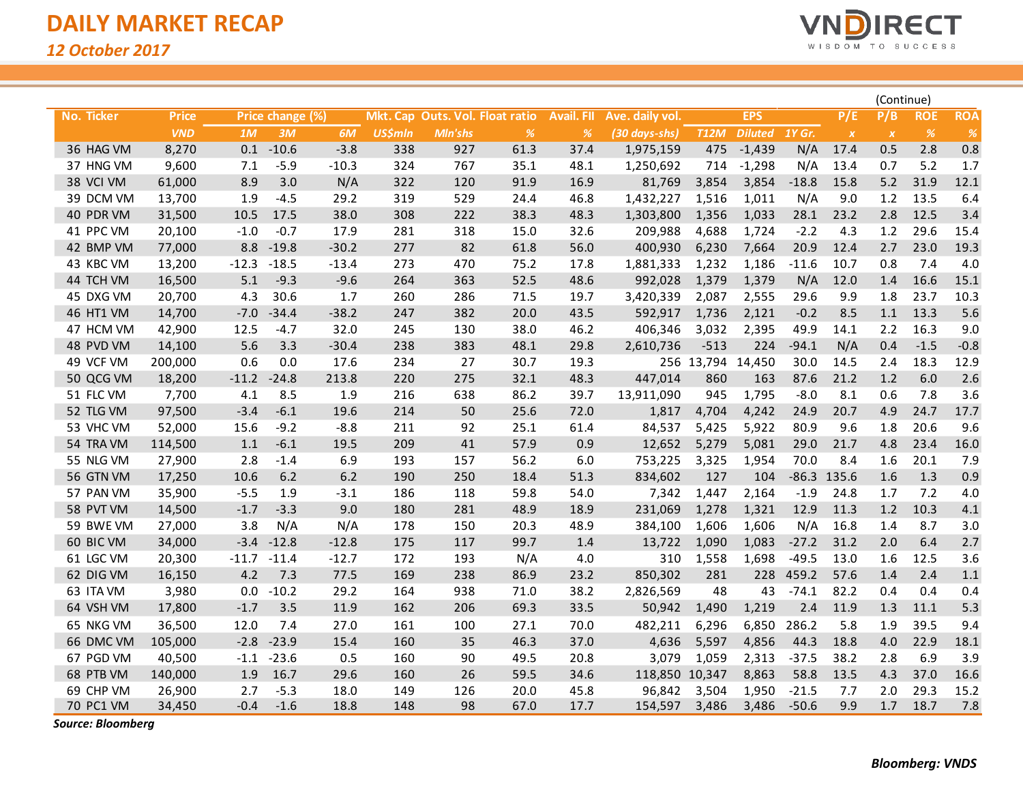

|                   |              |         |                  |         |                |         |                                 |                   |                 |                   |                |               |                  | (Continue)       |            |            |
|-------------------|--------------|---------|------------------|---------|----------------|---------|---------------------------------|-------------------|-----------------|-------------------|----------------|---------------|------------------|------------------|------------|------------|
| <b>No. Ticker</b> | <b>Price</b> |         | Price change (%) |         |                |         | Mkt. Cap Outs. Vol. Float ratio | <b>Avail. FII</b> | Ave. daily vol. |                   | <b>EPS</b>     |               | P/E              | P/B              | <b>ROE</b> | <b>ROA</b> |
|                   | <b>VND</b>   | 1M      | 3M               | 6M      | <b>US\$mln</b> | Mln'shs | $\%$                            | $\%$              | (30 days-shs)   | <b>T12M</b>       | <b>Diluted</b> | <b>1Y Gr.</b> | $\boldsymbol{X}$ | $\boldsymbol{X}$ | $\%$       | %          |
| 36 HAG VM         | 8,270        | 0.1     | $-10.6$          | $-3.8$  | 338            | 927     | 61.3                            | 37.4              | 1,975,159       | 475               | $-1,439$       | N/A           | 17.4             | 0.5              | 2.8        | 0.8        |
| 37 HNG VM         | 9,600        | 7.1     | $-5.9$           | $-10.3$ | 324            | 767     | 35.1                            | 48.1              | 1,250,692       | 714               | $-1,298$       | N/A           | 13.4             | 0.7              | 5.2        | 1.7        |
| 38 VCI VM         | 61,000       | 8.9     | 3.0              | N/A     | 322            | 120     | 91.9                            | 16.9              | 81,769          | 3,854             | 3,854          | $-18.8$       | 15.8             | 5.2              | 31.9       | 12.1       |
| 39 DCM VM         | 13,700       | 1.9     | $-4.5$           | 29.2    | 319            | 529     | 24.4                            | 46.8              | 1,432,227       | 1,516             | 1,011          | N/A           | 9.0              | 1.2              | 13.5       | 6.4        |
| 40 PDR VM         | 31,500       | 10.5    | 17.5             | 38.0    | 308            | 222     | 38.3                            | 48.3              | 1,303,800       | 1,356             | 1,033          | 28.1          | 23.2             | 2.8              | 12.5       | 3.4        |
| 41 PPC VM         | 20,100       | $-1.0$  | $-0.7$           | 17.9    | 281            | 318     | 15.0                            | 32.6              | 209,988         | 4,688             | 1,724          | $-2.2$        | 4.3              | 1.2              | 29.6       | 15.4       |
| 42 BMP VM         | 77,000       | 8.8     | $-19.8$          | $-30.2$ | 277            | 82      | 61.8                            | 56.0              | 400,930         | 6,230             | 7,664          | 20.9          | 12.4             | 2.7              | 23.0       | 19.3       |
| 43 KBC VM         | 13,200       | $-12.3$ | $-18.5$          | $-13.4$ | 273            | 470     | 75.2                            | 17.8              | 1,881,333       | 1,232             | 1,186          | $-11.6$       | 10.7             | 0.8              | 7.4        | 4.0        |
| 44 TCH VM         | 16,500       | 5.1     | $-9.3$           | $-9.6$  | 264            | 363     | 52.5                            | 48.6              | 992,028         | 1,379             | 1,379          | N/A           | 12.0             | 1.4              | 16.6       | 15.1       |
| 45 DXG VM         | 20,700       | 4.3     | 30.6             | 1.7     | 260            | 286     | 71.5                            | 19.7              | 3,420,339       | 2,087             | 2,555          | 29.6          | 9.9              | 1.8              | 23.7       | 10.3       |
| 46 HT1 VM         | 14,700       | $-7.0$  | $-34.4$          | $-38.2$ | 247            | 382     | 20.0                            | 43.5              | 592,917         | 1,736             | 2,121          | $-0.2$        | 8.5              | 1.1              | 13.3       | 5.6        |
| 47 HCM VM         | 42,900       | 12.5    | $-4.7$           | 32.0    | 245            | 130     | 38.0                            | 46.2              | 406,346         | 3,032             | 2,395          | 49.9          | 14.1             | 2.2              | 16.3       | 9.0        |
| 48 PVD VM         | 14,100       | 5.6     | 3.3              | $-30.4$ | 238            | 383     | 48.1                            | 29.8              | 2,610,736       | $-513$            | 224            | $-94.1$       | N/A              | 0.4              | $-1.5$     | $-0.8$     |
| 49 VCF VM         | 200,000      | 0.6     | 0.0              | 17.6    | 234            | 27      | 30.7                            | 19.3              |                 | 256 13,794 14,450 |                | 30.0          | 14.5             | 2.4              | 18.3       | 12.9       |
| 50 QCG VM         | 18,200       | $-11.2$ | $-24.8$          | 213.8   | 220            | 275     | 32.1                            | 48.3              | 447,014         | 860               | 163            | 87.6          | 21.2             | 1.2              | 6.0        | 2.6        |
| 51 FLC VM         | 7,700        | 4.1     | 8.5              | 1.9     | 216            | 638     | 86.2                            | 39.7              | 13,911,090      | 945               | 1,795          | $-8.0$        | 8.1              | 0.6              | 7.8        | 3.6        |
| 52 TLG VM         | 97,500       | $-3.4$  | $-6.1$           | 19.6    | 214            | 50      | 25.6                            | 72.0              | 1,817           | 4,704             | 4,242          | 24.9          | 20.7             | 4.9              | 24.7       | 17.7       |
| 53 VHC VM         | 52,000       | 15.6    | $-9.2$           | $-8.8$  | 211            | 92      | 25.1                            | 61.4              | 84,537          | 5,425             | 5,922          | 80.9          | 9.6              | 1.8              | 20.6       | 9.6        |
| 54 TRA VM         | 114,500      | 1.1     | $-6.1$           | 19.5    | 209            | 41      | 57.9                            | 0.9               | 12,652          | 5,279             | 5,081          | 29.0          | 21.7             | 4.8              | 23.4       | 16.0       |
| 55 NLG VM         | 27,900       | 2.8     | $-1.4$           | 6.9     | 193            | 157     | 56.2                            | 6.0               | 753,225         | 3,325             | 1,954          | 70.0          | 8.4              | 1.6              | 20.1       | 7.9        |
| 56 GTN VM         | 17,250       | 10.6    | 6.2              | 6.2     | 190            | 250     | 18.4                            | 51.3              | 834,602         | 127               | 104            |               | $-86.3$ 135.6    | 1.6              | 1.3        | 0.9        |
| 57 PAN VM         | 35,900       | $-5.5$  | 1.9              | $-3.1$  | 186            | 118     | 59.8                            | 54.0              | 7,342           | 1,447             | 2,164          | $-1.9$        | 24.8             | 1.7              | 7.2        | 4.0        |
| 58 PVT VM         | 14,500       | $-1.7$  | $-3.3$           | 9.0     | 180            | 281     | 48.9                            | 18.9              | 231,069         | 1,278             | 1,321          | 12.9          | 11.3             | 1.2              | 10.3       | 4.1        |
| 59 BWE VM         | 27,000       | 3.8     | N/A              | N/A     | 178            | 150     | 20.3                            | 48.9              | 384,100         | 1,606             | 1,606          | N/A           | 16.8             | 1.4              | 8.7        | 3.0        |
| 60 BIC VM         | 34,000       | $-3.4$  | $-12.8$          | $-12.8$ | 175            | 117     | 99.7                            | 1.4               | 13,722          | 1,090             | 1,083          | $-27.2$       | 31.2             | 2.0              | 6.4        | 2.7        |
| 61 LGC VM         | 20,300       | $-11.7$ | $-11.4$          | $-12.7$ | 172            | 193     | N/A                             | 4.0               | 310             | 1,558             | 1,698          | $-49.5$       | 13.0             | 1.6              | 12.5       | 3.6        |
| 62 DIG VM         | 16,150       | 4.2     | 7.3              | 77.5    | 169            | 238     | 86.9                            | 23.2              | 850,302         | 281               | 228            | 459.2         | 57.6             | 1.4              | 2.4        | 1.1        |
| 63 ITA VM         | 3,980        | 0.0     | $-10.2$          | 29.2    | 164            | 938     | 71.0                            | 38.2              | 2,826,569       | 48                | 43             | $-74.1$       | 82.2             | 0.4              | 0.4        | 0.4        |
| 64 VSH VM         | 17,800       | $-1.7$  | 3.5              | 11.9    | 162            | 206     | 69.3                            | 33.5              | 50,942          | 1,490             | 1,219          | 2.4           | 11.9             | 1.3              | 11.1       | 5.3        |
| 65 NKG VM         | 36,500       | 12.0    | 7.4              | 27.0    | 161            | 100     | 27.1                            | 70.0              | 482,211         | 6,296             | 6,850          | 286.2         | 5.8              | 1.9              | 39.5       | 9.4        |
| 66 DMC VM         | 105,000      | $-2.8$  | $-23.9$          | 15.4    | 160            | 35      | 46.3                            | 37.0              | 4,636           | 5,597             | 4,856          | 44.3          | 18.8             | 4.0              | 22.9       | 18.1       |
| 67 PGD VM         | 40,500       | $-1.1$  | $-23.6$          | 0.5     | 160            | 90      | 49.5                            | 20.8              | 3,079           | 1,059             | 2,313          | $-37.5$       | 38.2             | 2.8              | 6.9        | 3.9        |
| 68 PTB VM         | 140,000      | 1.9     | 16.7             | 29.6    | 160            | 26      | 59.5                            | 34.6              | 118,850         | 10,347            | 8,863          | 58.8          | 13.5             | 4.3              | 37.0       | 16.6       |
| 69 CHP VM         | 26,900       | 2.7     | $-5.3$           | 18.0    | 149            | 126     | 20.0                            | 45.8              | 96,842          | 3,504             | 1,950          | $-21.5$       | 7.7              | 2.0              | 29.3       | 15.2       |
| 70 PC1 VM         | 34,450       | $-0.4$  | $-1.6$           | 18.8    | 148            | 98      | 67.0                            | 17.7              | 154,597         | 3,486             | 3,486          | $-50.6$       | 9.9              | 1.7              | 18.7       | 7.8        |

*Source: Bloomberg*